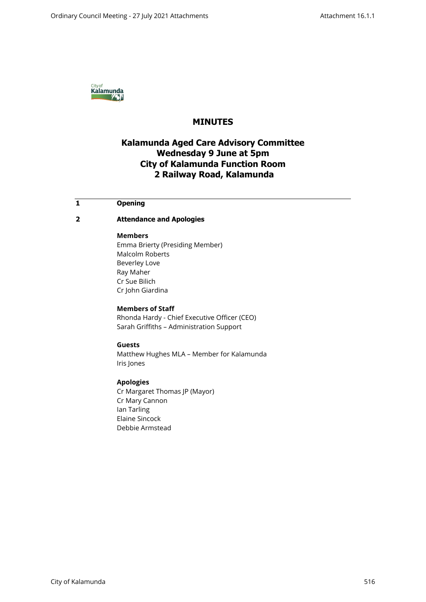

# **MINUTES**

# **Kalamunda Aged Care Advisory Committee Wednesday 9 June at 5pm City of Kalamunda Function Room 2 Railway Road, Kalamunda**

## **1 Opening**

## **2 Attendance and Apologies**

#### **Members**

Emma Brierty (Presiding Member) Malcolm Roberts Beverley Love Ray Maher Cr Sue Bilich Cr John Giardina

**Members of Staff** Rhonda Hardy - Chief Executive Officer (CEO) Sarah Griffiths – Administration Support

#### **Guests**

Matthew Hughes MLA – Member for Kalamunda Iris Jones

### **Apologies**

Cr Margaret Thomas JP (Mayor) Cr Mary Cannon Ian Tarling Elaine Sincock Debbie Armstead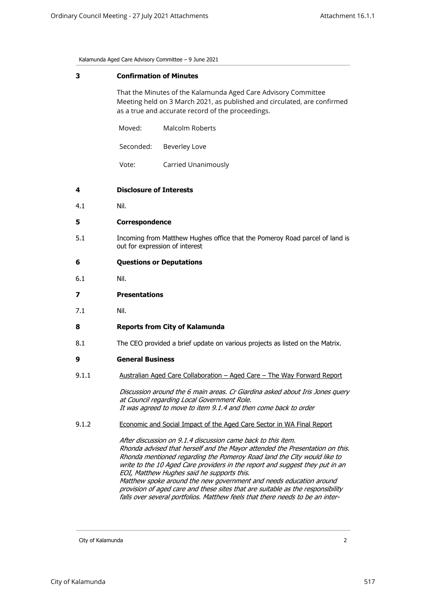Kalamunda Aged Care Advisory Committee – 9 June 2021

#### **3 Confirmation of Minutes**

That the Minutes of the Kalamunda Aged Care Advisory Committee Meeting held on 3 March 2021, as published and circulated, are confirmed as a true and accurate record of the proceedings.

| Moved:    | Malcolm Roberts |
|-----------|-----------------|
| Seconded: | Beverley Love   |

Vote: Carried Unanimously

### **4 Disclosure of Interests**

4.1 Nil.

#### **5 Correspondence**

5.1 Incoming from Matthew Hughes office that the Pomeroy Road parcel of land is out for expression of interest

#### **6 Questions or Deputations**

- 6.1 Nil.
- **7 Presentations**
- 7.1 Nil.

#### **8 Reports from City of Kalamunda**

8.1 The CEO provided a brief update on various projects as listed on the Matrix.

#### **9 General Business**

9.1.1 Australian Aged Care Collaboration – Aged Care – The Way Forward Report

*Discussion around the 6 main areas. Cr Giardina asked about Iris Jones query at Council regarding Local Government Role. It was agreed to move to item 9.1.4 and then come back to order*

#### 9.1.2 Economic and Social Impact of the Aged Care Sector in WA Final Report

*After discussion on 9.1.4 discussion came back to this item. Rhonda advised that herself and the Mayor attended the Presentation on this. Rhonda mentioned regarding the Pomeroy Road land the City would like to write to the 10 Aged Care providers in the report and suggest they put in an EOI, Matthew Hughes said he supports this. Matthew spoke around the new government and needs education around provision of aged care and these sites that are suitable as the responsibility falls over several portfolios. Matthew feels that there needs to be an inter-*

City of Kalamunda 2